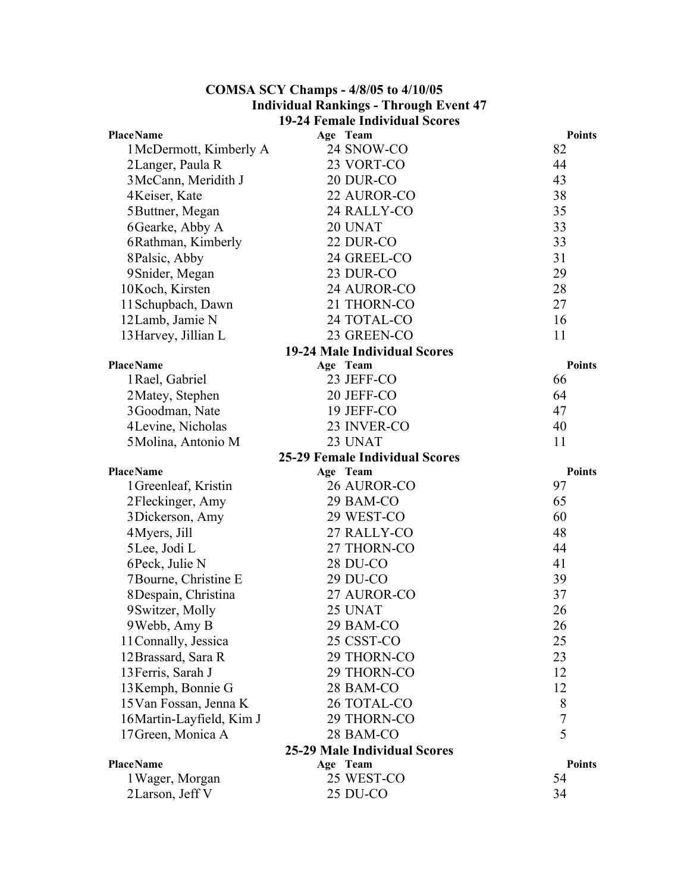## **COMSA SCY Champs - 4/8/05 to 4/10/05 Individual Rankings - Through Event 47 19-24 Female Individual Scores**

| <b>PlaceName</b>                    |          | Age Team                              | <b>Points</b> |  |
|-------------------------------------|----------|---------------------------------------|---------------|--|
| 1 McDermott, Kimberly A             |          | 24 SNOW-CO                            | 82            |  |
| 2Langer, Paula R                    |          | 23 VORT-CO                            | 44            |  |
| 3 McCann, Meridith J                |          | 20 DUR-CO                             | 43            |  |
| 4Keiser, Kate                       |          | 22 AUROR-CO                           | 38            |  |
| 5 Buttner, Megan                    |          | 24 RALLY-CO                           | 35            |  |
| 6 Gearke, Abby A                    |          | 20 UNAT                               | 33            |  |
| 6Rathman, Kimberly                  |          | 22 DUR-CO                             | 33            |  |
| 8Palsic, Abby                       |          | 24 GREEL-CO                           | 31            |  |
| 9 Snider, Megan                     |          | 23 DUR-CO                             | 29            |  |
| 10Koch, Kirsten                     |          | 24 AUROR-CO                           | 28            |  |
| 11 Schupbach, Dawn                  |          | 21 THORN-CO                           | 27            |  |
| 12Lamb, Jamie N                     |          | 24 TOTAL-CO                           | 16            |  |
| 13 Harvey, Jillian L                |          | 23 GREEN-CO                           | 11            |  |
|                                     |          | <b>19-24 Male Individual Scores</b>   |               |  |
| <b>PlaceName</b>                    | Age Team |                                       | <b>Points</b> |  |
| 1 Rael, Gabriel                     |          | 23 JEFF-CO                            | 66            |  |
| 2Matey, Stephen                     |          | 20 JEFF-CO                            | 64            |  |
| 3Goodman, Nate                      |          | 19 JEFF-CO                            | 47            |  |
| 4 Levine, Nicholas                  |          | 23 INVER-CO                           | 40            |  |
| 5 Molina, Antonio M                 |          | 23 UNAT                               | 11            |  |
|                                     |          | <b>25-29 Female Individual Scores</b> |               |  |
| <b>PlaceName</b>                    | Age Team |                                       | <b>Points</b> |  |
| 1 Greenleaf, Kristin                |          | 26 AUROR-CO                           | 97            |  |
| 2Fleckinger, Amy                    |          | 29 BAM-CO                             | 65            |  |
| 3 Dickerson, Amy                    |          | 29 WEST-CO                            | 60            |  |
| 4Myers, Jill                        |          | 27 RALLY-CO                           | 48            |  |
| 5 Lee, Jodi L                       |          | 27 THORN-CO                           | 44            |  |
| 6 Peck, Julie N                     |          | <b>28 DU-CO</b>                       | 41            |  |
| 7Bourne, Christine E                |          | 29 DU-CO                              | 39            |  |
| 8 Despain, Christina                |          | 27 AUROR-CO                           | 37            |  |
| 9 Switzer, Molly                    |          | 25 UNAT                               | 26            |  |
| 9 Webb, Amy B                       |          | 29 BAM-CO                             | 26            |  |
| 11 Connally, Jessica                |          | 25 CSST-CO                            | 25            |  |
| 12 Brassard, Sara R                 |          | 29 THORN-CO                           | 23            |  |
| 13 Ferris, Sarah J                  |          | 29 THORN-CO                           | 12            |  |
| 13 Kemph, Bonnie G                  |          | 28 BAM-CO                             | 12            |  |
| 15 Van Fossan, Jenna K              |          | 26 TOTAL-CO                           | 8             |  |
| 16 Martin-Layfield, Kim J           |          | 29 THORN-CO                           | 7             |  |
| 17 Green, Monica A                  |          | 28 BAM-CO                             | 5             |  |
| <b>25-29 Male Individual Scores</b> |          |                                       |               |  |
| <b>PlaceName</b>                    |          |                                       |               |  |
|                                     | Age Team |                                       | <b>Points</b> |  |
| 1 Wager, Morgan<br>2 Larson, Jeff V |          | 25 WEST-CO<br>25 DU-CO                | 54<br>34      |  |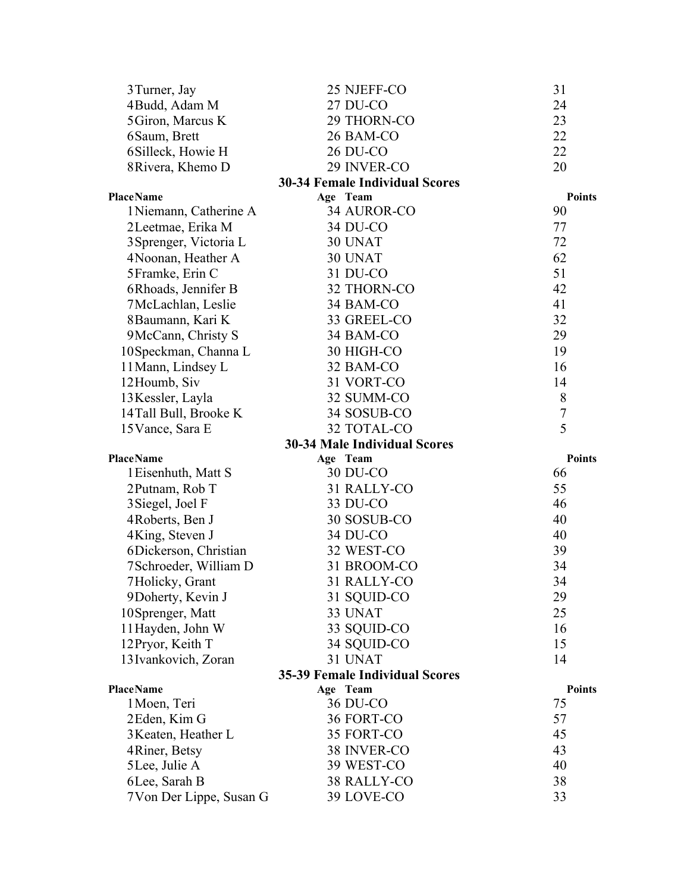| 3 Turner, Jay                              | 25 NJEFF-CO                           | 31            |
|--------------------------------------------|---------------------------------------|---------------|
| 4 Budd, Adam M                             | 27 DU-CO                              | 24            |
| 5 Giron, Marcus K                          | 29 THORN-CO                           | 23            |
| 6 Saum, Brett                              | 26 BAM-CO                             | 22            |
| 6Silleck, Howie H                          | <b>26 DU-CO</b>                       | 22            |
| 8 Rivera, Khemo D                          | 29 INVER-CO                           | 20            |
|                                            | <b>30-34 Female Individual Scores</b> |               |
| <b>PlaceName</b>                           | Age Team                              | <b>Points</b> |
| 1 Niemann, Catherine A                     | 34 AUROR-CO                           | 90            |
| 2Leetmae, Erika M                          | 34 DU-CO                              | 77            |
| 3 Sprenger, Victoria L                     | 30 UNAT                               | 72            |
| 4 Noonan, Heather A                        | 30 UNAT                               | 62            |
| 5Framke, Erin C                            | 31 DU-CO                              | 51            |
| 6Rhoads, Jennifer B                        | 32 THORN-CO                           | 42            |
| 7 McLachlan, Leslie                        | 34 BAM-CO                             | 41            |
| 8 Baumann, Kari K                          | 33 GREEL-CO                           | 32            |
| 9McCann, Christy S                         | 34 BAM-CO                             | 29            |
| 10 Speckman, Channa L                      | 30 HIGH-CO                            | 19            |
| 11 Mann, Lindsey L                         | 32 BAM-CO                             | 16            |
| 12Houmb, Siv                               | 31 VORT-CO                            | 14            |
| 13 Kessler, Layla                          | 32 SUMM-CO                            | 8             |
| 14Tall Bull, Brooke K                      | 34 SOSUB-CO                           | 7             |
| 15 Vance, Sara E                           | 32 TOTAL-CO                           | 5             |
|                                            | <b>30-34 Male Individual Scores</b>   |               |
| <b>PlaceName</b>                           | Age Team                              | <b>Points</b> |
|                                            |                                       |               |
| 1 Eisenhuth, Matt S                        | 30 DU-CO                              | 66            |
| 2Putnam, Rob T                             | 31 RALLY-CO                           | 55            |
| 3 Siegel, Joel F                           | 33 DU-CO                              | 46            |
| 4Roberts, Ben J                            | 30 SOSUB-CO                           | 40            |
| 4King, Steven J                            | 34 DU-CO                              | 40            |
| 6Dickerson, Christian                      | 32 WEST-CO                            | 39            |
| 7Schroeder, William D                      | 31 BROOM-CO                           | 34            |
| 7Holicky, Grant                            | 31 RALLY-CO                           | 34            |
| 9 Doherty, Kevin J                         | 31 SQUID-CO                           | 29            |
| 10Sprenger, Matt                           | 33 UNAT                               | 25            |
| 11 Hayden, John W                          | 33 SQUID-CO                           | 16            |
| 12 Pryor, Keith T                          | 34 SQUID-CO                           | 15            |
| 13 Ivankovich, Zoran                       | 31 UNAT                               | 14            |
|                                            | <b>35-39 Female Individual Scores</b> |               |
| <b>PlaceName</b>                           | Age Team                              | <b>Points</b> |
| 1 Moen, Teri                               | 36 DU-CO                              | 75            |
| 2Eden, Kim G                               | 36 FORT-CO                            | 57            |
| 3 Keaten, Heather L                        | 35 FORT-CO                            | 45            |
| 4 Riner, Betsy                             | 38 INVER-CO                           | 43            |
| 5 Lee, Julie A                             | 39 WEST-CO                            | 40            |
| 6 Lee, Sarah B<br>7 Von Der Lippe, Susan G | 38 RALLY-CO<br>39 LOVE-CO             | 38<br>33      |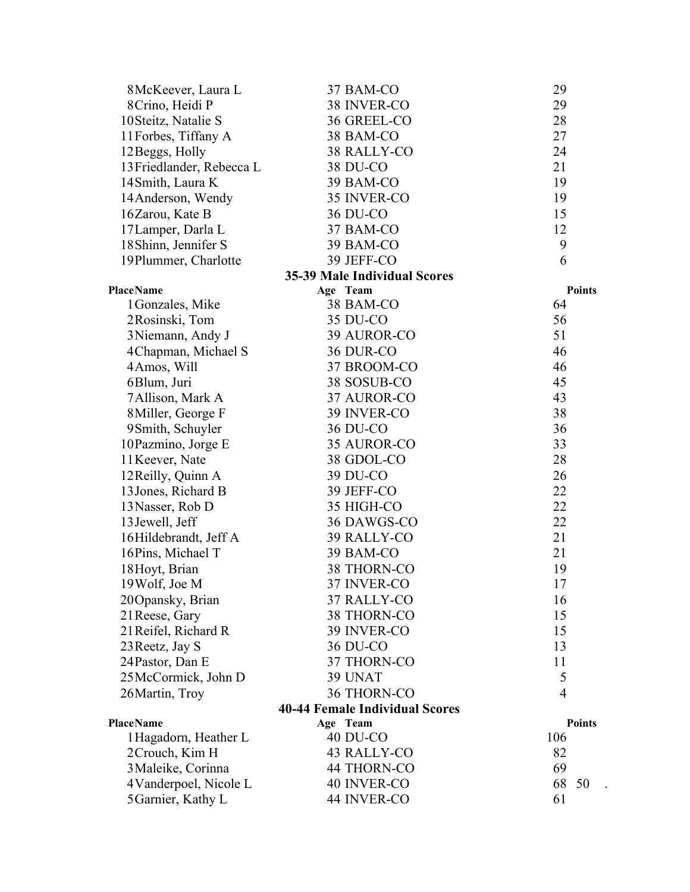| 8 McKeever, Laura L       | 37 BAM-CO                                            | 29                  |
|---------------------------|------------------------------------------------------|---------------------|
| 8 Crino, Heidi P          | 38 INVER-CO                                          | 29                  |
| 10 Steitz, Natalie S      | 36 GREEL-CO                                          | 28                  |
| 11 Forbes, Tiffany A      | 38 BAM-CO                                            | 27                  |
| 12 Beggs, Holly           | 38 RALLY-CO                                          | 24                  |
| 13 Friedlander, Rebecca L | 38 DU-CO                                             | 21                  |
| 14 Smith, Laura K         | 39 BAM-CO                                            | 19                  |
| 14 Anderson, Wendy        | 35 INVER-CO                                          | 19                  |
| 16Zarou, Kate B           | 36 DU-CO                                             | 15                  |
| 17 Lamper, Darla L        | 37 BAM-CO                                            | 12                  |
| 18 Shinn, Jennifer S      | 39 BAM-CO                                            | 9                   |
| 19Plummer, Charlotte      | 39 JEFF-CO                                           | 6                   |
|                           | <b>35-39 Male Individual Scores</b>                  |                     |
| <b>PlaceName</b>          | Age Team                                             | <b>Points</b>       |
| 1 Gonzales, Mike          | 38 BAM-CO                                            | 64                  |
| 2Rosinski, Tom            | 35 DU-CO                                             | 56                  |
| 3 Niemann, Andy J         | 39 AUROR-CO                                          | 51                  |
| 4 Chapman, Michael S      | 36 DUR-CO                                            | 46                  |
| 4Amos, Will               | 37 BROOM-CO                                          | 46                  |
| 6Blum, Juri               | 38 SOSUB-CO                                          | 45                  |
| 7 Allison, Mark A         | 37 AUROR-CO                                          | 43                  |
| 8 Miller, George F        | 39 INVER-CO                                          | 38                  |
| 9Smith, Schuyler          | 36 DU-CO                                             | 36                  |
| 10 Pazmino, Jorge E       | 35 AUROR-CO                                          | 33                  |
| 11 Keever, Nate           | 38 GDOL-CO                                           | 28                  |
| 12 Reilly, Quinn A        | 39 DU-CO                                             | 26                  |
| 13 Jones, Richard B       | 39 JEFF-CO                                           | 22                  |
| 13 Nasser, Rob D          | 35 HIGH-CO                                           | 22                  |
| 13 Jewell, Jeff           | 36 DAWGS-CO                                          | 22                  |
| 16Hildebrandt, Jeff A     | 39 RALLY-CO                                          | 21                  |
| 16Pins, Michael T         | 39 BAM-CO                                            | 21                  |
| 18 Hoyt, Brian            | 38 THORN-CO                                          | 19                  |
| 19 Wolf, Joe M            | 37 INVER-CO                                          | 17                  |
| 20 Opansky, Brian         | 37 RALLY-CO                                          | 16                  |
| 21 Reese, Gary            | 38 THORN-CO                                          | 15                  |
| 21 Reifel, Richard R      | 39 INVER-CO                                          | 15                  |
| 23 Reetz, Jay S           | 36 DU-CO                                             | 13                  |
| 24 Pastor, Dan E          | 37 THORN-CO                                          | 11                  |
| 25McCormick, John D       | 39 UNAT                                              | 5<br>$\overline{4}$ |
| 26 Martin, Troy           | 36 THORN-CO<br><b>40-44 Female Individual Scores</b> |                     |
| <b>PlaceName</b>          | Age Team                                             | <b>Points</b>       |
| 1 Hagadorn, Heather L     | 40 DU-CO                                             | 106                 |
| 2Crouch, Kim H            | 43 RALLY-CO                                          | 82                  |
| 3 Maleike, Corinna        | 44 THORN-CO                                          | 69                  |
| 4Vanderpoel, Nicole L     | 40 INVER-CO                                          | 68<br>50            |
| 5 Garnier, Kathy L        | 44 INVER-CO                                          | 61                  |
|                           |                                                      |                     |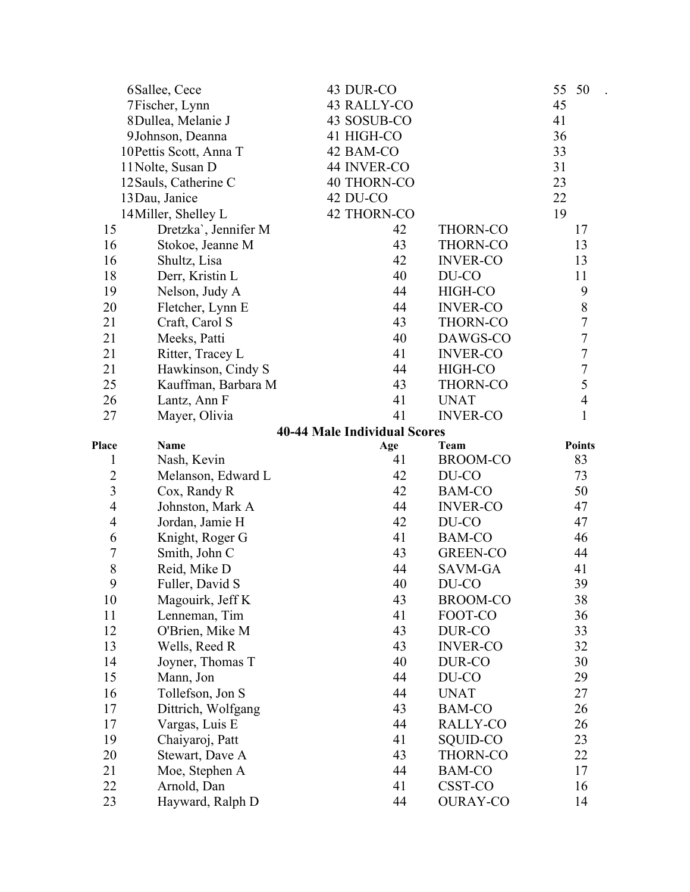|                  | 6Sallee, Cece           | 43 DUR-CO                           |                 | 55<br>50         |
|------------------|-------------------------|-------------------------------------|-----------------|------------------|
|                  | 7Fischer, Lynn          | 43 RALLY-CO                         |                 | 45               |
|                  | 8Dullea, Melanie J      | 43 SOSUB-CO                         |                 | 41               |
|                  | 9Johnson, Deanna        | 41 HIGH-CO                          |                 | 36               |
|                  | 10 Pettis Scott, Anna T | 42 BAM-CO                           |                 | 33               |
|                  | 11 Nolte, Susan D       | 44 INVER-CO                         |                 | 31               |
|                  | 12 Sauls, Catherine C   | <b>40 THORN-CO</b>                  |                 | 23               |
|                  | 13 Dau, Janice          | 42 DU-CO                            |                 | 22               |
|                  | 14 Miller, Shelley L    | <b>42 THORN-CO</b>                  |                 | 19               |
| 15               | Dretzka`, Jennifer M    | 42                                  | <b>THORN-CO</b> | 17               |
| 16               | Stokoe, Jeanne M        | 43                                  | THORN-CO        | 13               |
| 16               | Shultz, Lisa            | 42                                  | <b>INVER-CO</b> | 13               |
| 18               | Derr, Kristin L         | 40                                  | DU-CO           | 11               |
| 19               | Nelson, Judy A          | 44                                  | HIGH-CO         | 9                |
| 20               | Fletcher, Lynn E        | 44                                  | <b>INVER-CO</b> | $8\,$            |
| 21               | Craft, Carol S          | 43                                  | THORN-CO        | $\tau$           |
| 21               | Meeks, Patti            | 40                                  | DAWGS-CO        | $\boldsymbol{7}$ |
| 21               | Ritter, Tracey L        | 41                                  | <b>INVER-CO</b> | $\overline{7}$   |
| 21               | Hawkinson, Cindy S      | 44                                  | HIGH-CO         | $\tau$           |
| 25               | Kauffman, Barbara M     | 43                                  | <b>THORN-CO</b> | 5                |
| 26               | Lantz, Ann F            | 41                                  | <b>UNAT</b>     | $\overline{4}$   |
| 27               | Mayer, Olivia           | 41                                  | <b>INVER-CO</b> | $\mathbf{1}$     |
|                  |                         | <b>40-44 Male Individual Scores</b> |                 |                  |
| Place            | <b>Name</b>             | Age                                 | <b>Team</b>     | <b>Points</b>    |
| $\mathbf 1$      | Nash, Kevin             | 41                                  | BROOM-CO        | 83               |
| $\overline{c}$   | Melanson, Edward L      | 42                                  | DU-CO           | 73               |
| $\overline{3}$   | Cox, Randy R            | 42                                  | <b>BAM-CO</b>   | 50               |
| $\overline{4}$   | Johnston, Mark A        | 44                                  | <b>INVER-CO</b> | 47               |
| $\overline{4}$   | Jordan, Jamie H         | 42                                  | DU-CO           | 47               |
| 6                | Knight, Roger G         | 41                                  | <b>BAM-CO</b>   | 46               |
| $\boldsymbol{7}$ | Smith, John C           | 43                                  | GREEN-CO        | 44               |
| $\,8\,$          | Reid, Mike D            | 44                                  | SAVM-GA         | 41               |
| 9                | Fuller, David S         | 40                                  | DU-CO           | 39               |
| 10               | Magouirk, Jeff K        | 43                                  | BROOM-CO        | 38               |
| 11               | Lenneman, Tim           | 41                                  | FOOT-CO         | 36               |
| 12               | O'Brien, Mike M         | 43                                  | DUR-CO          | 33               |
| 13               | Wells, Reed R           | 43                                  | <b>INVER-CO</b> | 32               |
| 14               | Joyner, Thomas T        | 40                                  | DUR-CO          | 30               |
| 15               | Mann, Jon               | 44                                  | DU-CO           | 29               |
| 16               | Tollefson, Jon S        | 44                                  | <b>UNAT</b>     | 27               |
| 17               | Dittrich, Wolfgang      | 43                                  | BAM-CO          | 26               |
| 17               | Vargas, Luis E          | 44                                  | RALLY-CO        | 26               |
| 19               | Chaiyaroj, Patt         | 41                                  | SQUID-CO        | 23               |
| 20               | Stewart, Dave A         | 43                                  | THORN-CO        | 22               |
| 21               | Moe, Stephen A          | 44                                  | BAM-CO          | 17               |
| 22               | Arnold, Dan             | 41                                  | CSST-CO         | 16               |
| 23               | Hayward, Ralph D        | 44                                  | <b>OURAY-CO</b> | 14               |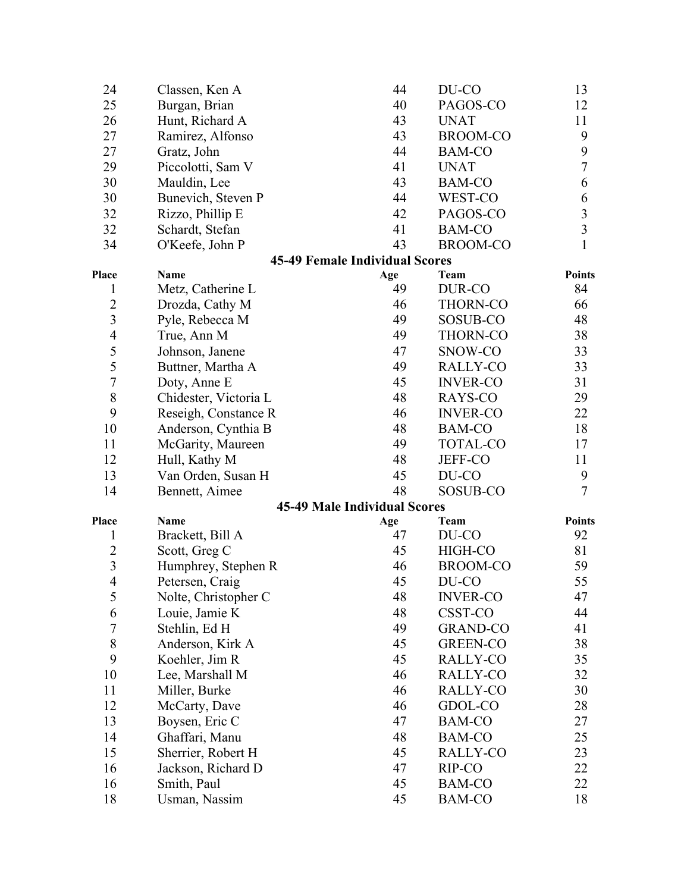| 24             | Classen, Ken A        | 44                                    | DU-CO           | 13             |
|----------------|-----------------------|---------------------------------------|-----------------|----------------|
| 25             | Burgan, Brian         | 40                                    | PAGOS-CO        | 12             |
| 26             | Hunt, Richard A       | 43                                    | <b>UNAT</b>     | 11             |
| 27             | Ramirez, Alfonso      | 43                                    | <b>BROOM-CO</b> | 9              |
| 27             | Gratz, John           | 44                                    | <b>BAM-CO</b>   | 9              |
| 29             | Piccolotti, Sam V     | 41                                    | <b>UNAT</b>     | $\overline{7}$ |
| 30             | Mauldin, Lee          | 43                                    | <b>BAM-CO</b>   | 6              |
| 30             | Bunevich, Steven P    | 44                                    | WEST-CO         | 6              |
| 32             | Rizzo, Phillip E      | 42                                    | PAGOS-CO        | $\overline{3}$ |
| 32             | Schardt, Stefan       | 41                                    | <b>BAM-CO</b>   | $\overline{3}$ |
| 34             | O'Keefe, John P       | 43                                    | <b>BROOM-CO</b> | 1              |
|                |                       | <b>45-49 Female Individual Scores</b> |                 |                |
| Place          | <b>Name</b>           | Age                                   | Team            | <b>Points</b>  |
| 1              | Metz, Catherine L     | 49                                    | DUR-CO          | 84             |
| $\overline{2}$ | Drozda, Cathy M       | 46                                    | THORN-CO        | 66             |
| $\overline{3}$ | Pyle, Rebecca M       | 49                                    | SOSUB-CO        | 48             |
| $\overline{4}$ | True, Ann M           | 49                                    | <b>THORN-CO</b> | 38             |
| 5              | Johnson, Janene       | 47                                    | SNOW-CO         | 33             |
| 5              | Buttner, Martha A     | 49                                    | RALLY-CO        | 33             |
| 7              | Doty, Anne E          | 45                                    | <b>INVER-CO</b> | 31             |
| $8\,$          | Chidester, Victoria L | 48                                    | RAYS-CO         | 29             |
| 9              | Reseigh, Constance R  | 46                                    | <b>INVER-CO</b> | 22             |
| 10             | Anderson, Cynthia B   | 48                                    | <b>BAM-CO</b>   | 18             |
| 11             | McGarity, Maureen     | 49                                    | <b>TOTAL-CO</b> | 17             |
| 12             | Hull, Kathy M         | 48                                    | JEFF-CO         | 11             |
| 13             | Van Orden, Susan H    | 45                                    | DU-CO           | 9              |
| 14             | Bennett, Aimee        | 48                                    | SOSUB-CO        | $\overline{7}$ |
|                |                       | <b>45-49 Male Individual Scores</b>   |                 |                |
| Place          | <b>Name</b>           | Age                                   | Team            | <b>Points</b>  |
| 1              | Brackett, Bill A      | 47                                    | DU-CO           | 92             |
| $\overline{2}$ | Scott, Greg C         | 45                                    | HIGH-CO         | 81             |
| $\overline{3}$ | Humphrey, Stephen R   | 46                                    | <b>BROOM-CO</b> | 59             |
| $\overline{4}$ | Petersen, Craig       | 45                                    | DU-CO           | 55             |
| 5              | Nolte, Christopher C  | 48                                    | <b>INVER-CO</b> | 47             |
| 6              | Louie, Jamie K        | 48                                    | CSST-CO         | 44             |
| 7              | Stehlin, Ed H         | 49                                    | <b>GRAND-CO</b> | 41             |
| 8              | Anderson, Kirk A      | 45                                    | GREEN-CO        | 38             |
| 9              | Koehler, Jim R        | 45                                    | RALLY-CO        | 35             |
| 10             | Lee, Marshall M       | 46                                    | RALLY-CO        | 32             |
| 11             | Miller, Burke         | 46                                    | RALLY-CO        | 30             |
| 12             | McCarty, Dave         | 46                                    | GDOL-CO         | 28             |
| 13             | Boysen, Eric C        | 47                                    | <b>BAM-CO</b>   | 27             |
| 14             | Ghaffari, Manu        | 48                                    | BAM-CO          | 25             |
| 15             | Sherrier, Robert H    | 45                                    | RALLY-CO        | 23             |
| 16             | Jackson, Richard D    | 47                                    | RIP-CO          | 22             |
| 16             | Smith, Paul           | 45                                    | <b>BAM-CO</b>   | 22             |
| 18             | Usman, Nassim         | 45                                    | <b>BAM-CO</b>   | 18             |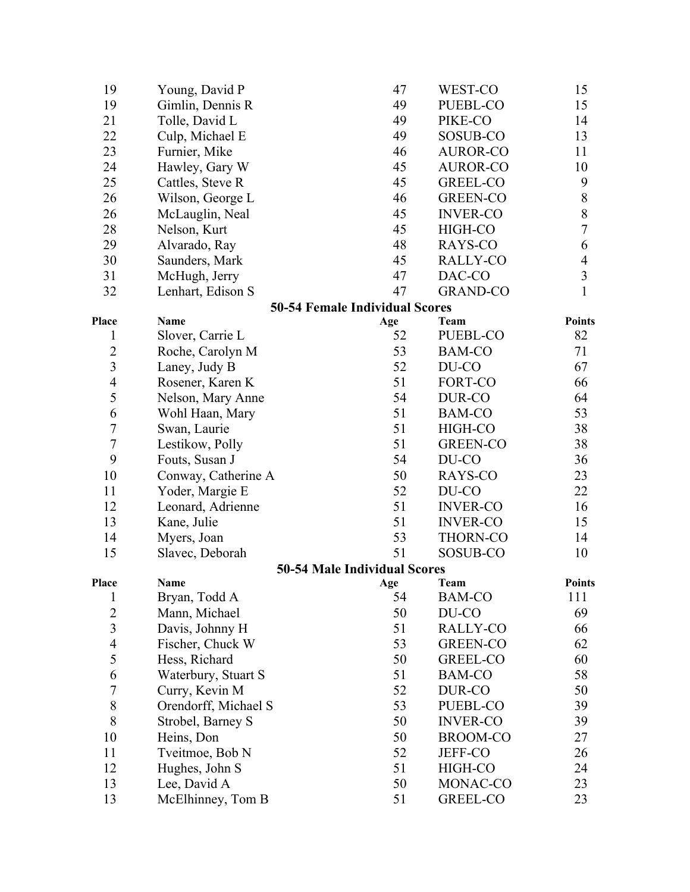| 19               | Young, David P       | 47                                    | WEST-CO         | 15                      |
|------------------|----------------------|---------------------------------------|-----------------|-------------------------|
| 19               | Gimlin, Dennis R     | 49                                    | PUEBL-CO        | 15                      |
| 21               | Tolle, David L       | 49                                    | PIKE-CO         | 14                      |
| 22               | Culp, Michael E      | 49                                    | SOSUB-CO        | 13                      |
| 23               | Furnier, Mike        | 46                                    | <b>AUROR-CO</b> | 11                      |
| 24               | Hawley, Gary W       | 45                                    | <b>AUROR-CO</b> | 10                      |
| 25               | Cattles, Steve R     | 45                                    | GREEL-CO        | 9                       |
| 26               | Wilson, George L     | 46                                    | <b>GREEN-CO</b> | 8                       |
| 26               | McLauglin, Neal      | 45                                    | <b>INVER-CO</b> | 8                       |
| 28               | Nelson, Kurt         | 45                                    | HIGH-CO         | 7                       |
| 29               | Alvarado, Ray        | 48                                    | RAYS-CO         | 6                       |
| 30               | Saunders, Mark       | 45                                    | RALLY-CO        | $\overline{4}$          |
| 31               | McHugh, Jerry        | 47                                    | DAC-CO          | $\overline{\mathbf{3}}$ |
| 32               | Lenhart, Edison S    | 47                                    | <b>GRAND-CO</b> | 1                       |
|                  |                      | <b>50-54 Female Individual Scores</b> |                 |                         |
| Place            | Name                 | Age                                   | Team            | <b>Points</b>           |
| 1                | Slover, Carrie L     | 52                                    | PUEBL-CO        | 82                      |
| $\overline{c}$   | Roche, Carolyn M     | 53                                    | <b>BAM-CO</b>   | 71                      |
| 3                | Laney, Judy B        | 52                                    | DU-CO           | 67                      |
| $\overline{4}$   | Rosener, Karen K     | 51                                    | FORT-CO         | 66                      |
| 5                | Nelson, Mary Anne    | 54                                    | DUR-CO          | 64                      |
| 6                | Wohl Haan, Mary      | 51                                    | <b>BAM-CO</b>   | 53                      |
| $\overline{7}$   | Swan, Laurie         | 51                                    | HIGH-CO         | 38                      |
| $\tau$           | Lestikow, Polly      | 51                                    | <b>GREEN-CO</b> | 38                      |
| 9                | Fouts, Susan J       | 54                                    | DU-CO           | 36                      |
| 10               | Conway, Catherine A  | 50                                    | RAYS-CO         | 23                      |
| 11               | Yoder, Margie E      | 52                                    | DU-CO           | 22                      |
| 12               | Leonard, Adrienne    | 51                                    | <b>INVER-CO</b> | 16                      |
| 13               | Kane, Julie          | 51                                    | <b>INVER-CO</b> | 15                      |
| 14               | Myers, Joan          | 53                                    | THORN-CO        | 14                      |
| 15               | Slavec, Deborah      | 51                                    | SOSUB-CO        | 10                      |
|                  |                      | 50-54 Male Individual Scores          |                 |                         |
| Place            | Name                 | Age                                   | Team            | <b>Points</b>           |
| 1                | Bryan, Todd A        | 54                                    | <b>BAM-CO</b>   | 111                     |
| $\overline{2}$   | Mann, Michael        | 50                                    | DU-CO           | 69                      |
| 3                | Davis, Johnny H      | 51                                    | RALLY-CO        | 66                      |
| $\overline{4}$   | Fischer, Chuck W     | 53                                    | GREEN-CO        | 62                      |
| 5                | Hess, Richard        | 50                                    | GREEL-CO        | 60                      |
| 6                | Waterbury, Stuart S  | 51                                    | <b>BAM-CO</b>   | 58                      |
| $\boldsymbol{7}$ | Curry, Kevin M       | 52                                    | DUR-CO          | 50                      |
| $8\,$            | Orendorff, Michael S | 53                                    | PUEBL-CO        | 39                      |
| 8                | Strobel, Barney S    | 50                                    | <b>INVER-CO</b> | 39                      |
| 10               | Heins, Don           | 50                                    | <b>BROOM-CO</b> | 27                      |
| 11               | Tveitmoe, Bob N      | 52                                    | JEFF-CO         | 26                      |
| 12               | Hughes, John S       | 51                                    | HIGH-CO         | 24                      |
| 13               | Lee, David A         | 50                                    | MONAC-CO        | 23                      |
| 13               | McElhinney, Tom B    | 51                                    | GREEL-CO        | 23                      |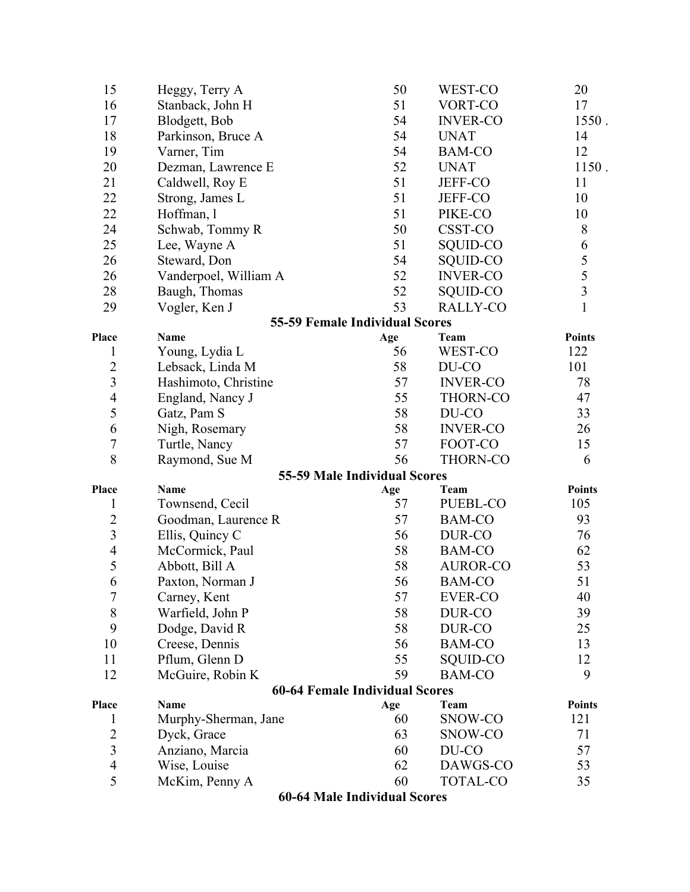| 15               | Heggy, Terry A        | 50                                    | WEST-CO         | 20             |
|------------------|-----------------------|---------------------------------------|-----------------|----------------|
| 16               | Stanback, John H      | 51                                    | VORT-CO         | 17             |
| 17               | Blodgett, Bob         | 54                                    | <b>INVER-CO</b> | 1550.          |
| 18               | Parkinson, Bruce A    | 54                                    | <b>UNAT</b>     | 14             |
| 19               | Varner, Tim           | 54                                    | <b>BAM-CO</b>   | 12             |
| 20               | Dezman, Lawrence E    | 52                                    | <b>UNAT</b>     | 1150.          |
| 21               | Caldwell, Roy E       | 51                                    | <b>JEFF-CO</b>  | 11             |
| 22               | Strong, James L       | 51                                    | <b>JEFF-CO</b>  | 10             |
| 22               | Hoffman, 1            | 51                                    | PIKE-CO         | 10             |
| 24               | Schwab, Tommy R       | 50                                    | CSST-CO         | 8              |
| 25               | Lee, Wayne A          | 51                                    | SQUID-CO        | 6              |
| 26               | Steward, Don          | 54                                    | SQUID-CO        | $\frac{5}{5}$  |
| 26               | Vanderpoel, William A | 52                                    | <b>INVER-CO</b> |                |
| 28               | Baugh, Thomas         | 52                                    | SQUID-CO        | $\overline{3}$ |
| 29               | Vogler, Ken J         | 53                                    | RALLY-CO        | $\mathbf{1}$   |
|                  |                       | <b>55-59 Female Individual Scores</b> |                 |                |
| Place            | <b>Name</b>           | Age                                   | <b>Team</b>     | <b>Points</b>  |
| $\mathbf{1}$     | Young, Lydia L        | 56                                    | WEST-CO         | 122            |
| $\overline{2}$   | Lebsack, Linda M      | 58                                    | DU-CO           | 101            |
| $\overline{3}$   | Hashimoto, Christine  | 57                                    | <b>INVER-CO</b> | 78             |
| $\overline{4}$   | England, Nancy J      | 55                                    | <b>THORN-CO</b> | 47             |
| 5                | Gatz, Pam S           | 58                                    | DU-CO           | 33             |
| 6                | Nigh, Rosemary        | 58                                    | <b>INVER-CO</b> | 26             |
| $\boldsymbol{7}$ | Turtle, Nancy         | 57                                    | FOOT-CO         | 15             |
| 8                | Raymond, Sue M        | 56                                    | <b>THORN-CO</b> | 6              |
|                  |                       | 55-59 Male Individual Scores          |                 |                |
| Place            | Name                  | Age                                   | <b>Team</b>     | <b>Points</b>  |
| $\mathbf 1$      | Townsend, Cecil       | 57                                    | PUEBL-CO        | 105            |
| $\overline{c}$   | Goodman, Laurence R   | 57                                    | <b>BAM-CO</b>   | 93             |
| $\mathfrak{Z}$   | Ellis, Quincy C       | 56                                    | DUR-CO          | 76             |
| $\overline{4}$   | McCormick, Paul       | 58                                    | <b>BAM-CO</b>   | 62             |
| 5                | Abbott, Bill A        | 58                                    | <b>AUROR-CO</b> | 53             |
| 6                | Paxton, Norman J      | 56                                    | <b>BAM-CO</b>   | 51             |
| 7                | Carney, Kent          | 57                                    | <b>EVER-CO</b>  | 40             |
| 8                | Warfield, John P      | 58                                    | DUR-CO          | 39             |
| 9                | Dodge, David R        | 58                                    | DUR-CO          | 25             |
| 10               | Creese, Dennis        | 56                                    | <b>BAM-CO</b>   | 13             |
| 11               | Pflum, Glenn D        | 55                                    | SQUID-CO        | 12             |
| 12               | McGuire, Robin K      | 59                                    | <b>BAM-CO</b>   | 9              |
|                  | Name                  | <b>60-64 Female Individual Scores</b> | Team            | <b>Points</b>  |
| Place<br>1       | Murphy-Sherman, Jane  | Age<br>60                             | SNOW-CO         | 121            |
| $\overline{2}$   | Dyck, Grace           | 63                                    | SNOW-CO         | 71             |
| 3                | Anziano, Marcia       | 60                                    | DU-CO           | 57             |
| 4                | Wise, Louise          | 62                                    | DAWGS-CO        | 53             |
| 5                | McKim, Penny A        | 60                                    | TOTAL-CO        | 35             |
|                  |                       |                                       |                 |                |

**60-64 Male Individual Scores**